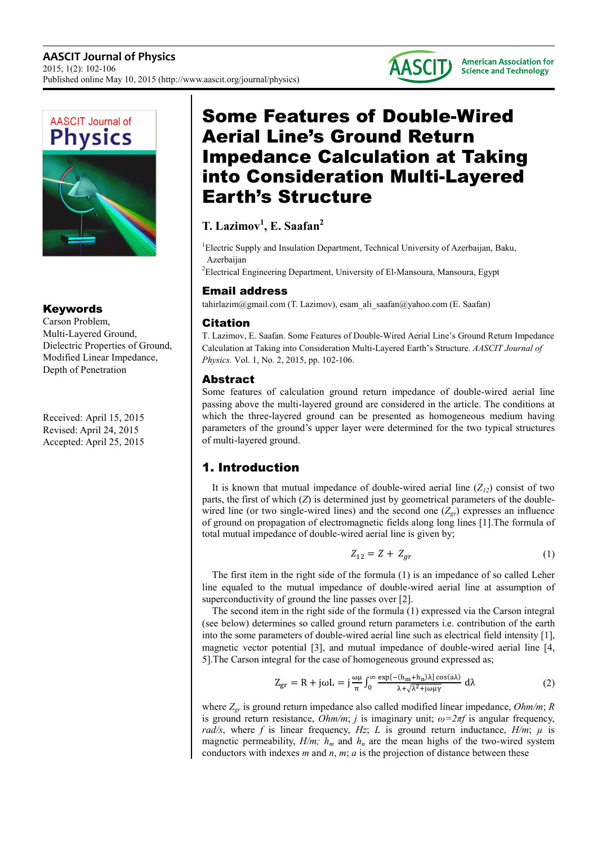



Keywords

Carson Problem, Multi-Layered Ground, Dielectric Properties of Ground, Modified Linear Impedance, Depth of Penetration

Received: April 15, 2015 Revised: April 24, 2015 Accepted: April 25, 2015

# Some Features of Double-Wired Aerial Line's Ground Return Impedance Calculation at Taking into Consideration Multi-Layered Earth's Structure

## **T. Lazimov<sup>1</sup> , E. Saafan<sup>2</sup>**

<sup>1</sup>Electric Supply and Insulation Department, Technical University of Azerbaijan, Baku, Azerbaijan

<sup>2</sup>Electrical Engineering Department, University of El-Mansoura, Mansoura, Egypt

### Email address

tahirlazim@gmail.com (T. Lazimov), esam\_ali\_saafan@yahoo.com (E. Saafan)

### Citation

T. Lazimov, E. Saafan. Some Features of Double-Wired Aerial Line's Ground Return Impedance Calculation at Taking into Consideration Multi-Layered Earth's Structure. *AASCIT Journal of Physics.* Vol. 1, No. 2, 2015, pp. 102-106.

### Abstract

Some features of calculation ground return impedance of double-wired aerial line passing above the multi-layered ground are considered in the article. The conditions at which the three-layered ground can be presented as homogeneous medium having parameters of the ground's upper layer were determined for the two typical structures of multi-layered ground.

### 1. Introduction

It is known that mutual impedance of double-wired aerial line  $(Z_{12})$  consist of two parts, the first of which (*Z*) is determined just by geometrical parameters of the doublewired line (or two single-wired lines) and the second one  $(Z_{gr})$  expresses an influence of ground on propagation of electromagnetic fields along long lines [1].The formula of total mutual impedance of double-wired aerial line is given by;

$$
Z_{12} = Z + Z_{gr} \tag{1}
$$

The first item in the right side of the formula (1) is an impedance of so called Leher line equaled to the mutual impedance of double-wired aerial line at assumption of superconductivity of ground the line passes over [2].

The second item in the right side of the formula (1) expressed via the Carson integral (see below) determines so called ground return parameters i.e. contribution of the earth into the some parameters of double-wired aerial line such as electrical field intensity [1], magnetic vector potential [3], and mutual impedance of double-wired aerial line [4, 5].The Carson integral for the case of homogeneous ground expressed as;

$$
Z_{\rm gr} = R + j\omega L = j\frac{\omega\mu}{\pi} \int_0^\infty \frac{\exp[-(h_m + h_n)\lambda] \cos(\alpha\lambda)}{\lambda + \sqrt{\lambda^2 + j\omega\mu\gamma}} d\lambda \tag{2}
$$

where *Zgr* is ground return impedance also called modified linear impedance, *Ohm/m*; *R* is ground return resistance,  $Ohm/m$ ; *j* is imaginary unit;  $\omega = 2\pi f$  is angular frequency, *rad/s*, where *f* is linear frequency, *Hz*; *L* is ground return inductance, *H/m*;  $\mu$  is magnetic permeability,  $H/m$ ;  $h_m$  and  $h_n$  are the mean highs of the two-wired system conductors with indexes  $m$  and  $n$ ,  $m$ ;  $a$  is the projection of distance between these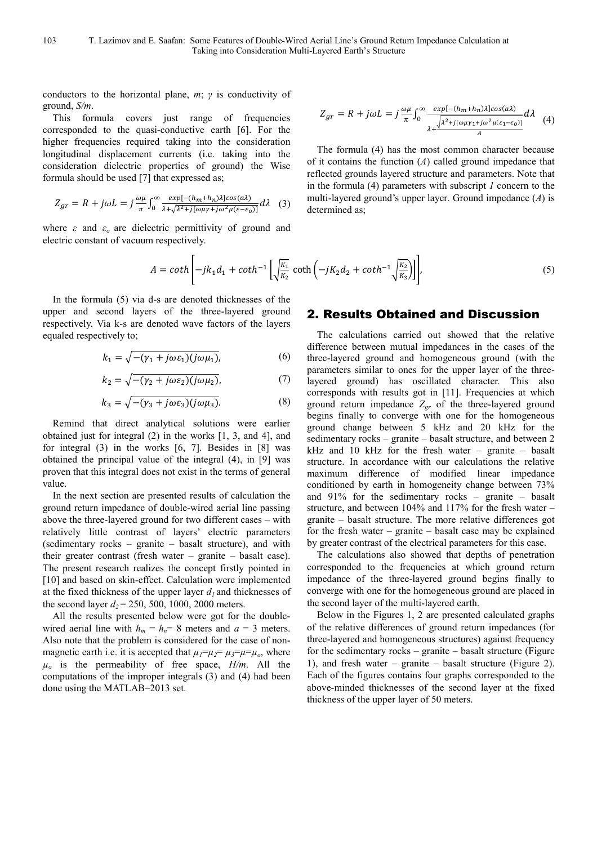conductors to the horizontal plane, *m*; *γ* is conductivity of ground, *S/m*.

This formula covers just range of frequencies corresponded to the quasi-conductive earth [6]. For the higher frequencies required taking into the consideration longitudinal displacement currents (i.e. taking into the consideration dielectric properties of ground) the Wise formula should be used [7] that expressed as;

$$
Z_{gr} = R + j\omega L = j\frac{\omega\mu}{\pi} \int_0^\infty \frac{exp[-(h_m + h_n)\lambda]cos(a\lambda)}{\lambda + \sqrt{\lambda^2 + j[\omega\mu\gamma + j\omega^2\mu(\varepsilon - \varepsilon_0)]}} d\lambda \quad (3)
$$

where *ε* and *εo* are dielectric permittivity of ground and electric constant of vacuum respectively.

$$
Z_{gr} = R + j\omega L = j\frac{\omega\mu}{\pi} \int_0^\infty \frac{exp[-(h_m + h_n)\lambda]cos(a\lambda)}{\lambda + \frac{\sqrt{\lambda^2 + j[\omega\mu\gamma_1 + j\omega^2\mu(\varepsilon_1 - \varepsilon_0)]}}{A}} d\lambda \quad (4)
$$

The formula (4) has the most common character because of it contains the function (*A*) called ground impedance that reflected grounds layered structure and parameters. Note that in the formula (4) parameters with subscript *1* concern to the multi-layered ground's upper layer. Ground impedance (*A*) is determined as;

$$
A = \coth\left[-jk_1d_1 + \coth^{-1}\left[\sqrt{\frac{k_1}{k_2}}\coth\left(-jK_2d_2 + \coth^{-1}\sqrt{\frac{k_2}{k_3}}\right)\right]\right],\tag{5}
$$

In the formula (5) via d-s are denoted thicknesses of the upper and second layers of the three-layered ground respectively. Via k-s are denoted wave factors of the layers equaled respectively to;

$$
k_1 = \sqrt{-(\gamma_1 + j\omega \varepsilon_1)(j\omega \mu_1)},\tag{6}
$$

$$
k_2 = \sqrt{-(\gamma_2 + j\omega \varepsilon_2)(j\omega \mu_2)},\tag{7}
$$

$$
k_3 = \sqrt{-(\gamma_3 + j\omega \varepsilon_3)(j\omega \mu_3)}.
$$
 (8)

Remind that direct analytical solutions were earlier obtained just for integral (2) in the works [1, 3, and 4], and for integral (3) in the works [6, 7]. Besides in [8] was obtained the principal value of the integral (4), in [9] was proven that this integral does not exist in the terms of general value.

In the next section are presented results of calculation the ground return impedance of double-wired aerial line passing above the three-layered ground for two different cases – with relatively little contrast of layers' electric parameters (sedimentary rocks – granite – basalt structure), and with their greater contrast (fresh water – granite – basalt case). The present research realizes the concept firstly pointed in [10] and based on skin-effect. Calculation were implemented at the fixed thickness of the upper layer  $d<sub>l</sub>$  and thicknesses of the second layer  $d_2$  = 250, 500, 1000, 2000 meters.

All the results presented below were got for the doublewired aerial line with  $h_m = h_n = 8$  meters and  $a = 3$  meters. Also note that the problem is considered for the case of nonmagnetic earth i.e. it is accepted that  $\mu_1 = \mu_2 = \mu_3 = \mu = \mu_0$ , where  $\mu_0$  is the permeability of free space,  $H/m$ . All the computations of the improper integrals (3) and (4) had been done using the MATLAB–2013 set.

### 2. Results Obtained and Discussion

The calculations carried out showed that the relative difference between mutual impedances in the cases of the three-layered ground and homogeneous ground (with the parameters similar to ones for the upper layer of the threelayered ground) has oscillated character. This also corresponds with results got in [11]. Frequencies at which ground return impedance *Zgr* of the three-layered ground begins finally to converge with one for the homogeneous ground change between 5 kHz and 20 kHz for the sedimentary rocks – granite – basalt structure, and between 2 kHz and 10 kHz for the fresh water – granite – basalt structure. In accordance with our calculations the relative maximum difference of modified linear impedance conditioned by earth in homogeneity change between 73% and 91% for the sedimentary rocks – granite – basalt structure, and between 104% and 117% for the fresh water – granite – basalt structure. The more relative differences got for the fresh water – granite – basalt case may be explained by greater contrast of the electrical parameters for this case.

The calculations also showed that depths of penetration corresponded to the frequencies at which ground return impedance of the three-layered ground begins finally to converge with one for the homogeneous ground are placed in the second layer of the multi-layered earth.

Below in the Figures 1, 2 are presented calculated graphs of the relative differences of ground return impedances (for three-layered and homogeneous structures) against frequency for the sedimentary rocks – granite – basalt structure (Figure 1), and fresh water – granite – basalt structure (Figure 2). Each of the figures contains four graphs corresponded to the above-minded thicknesses of the second layer at the fixed thickness of the upper layer of 50 meters.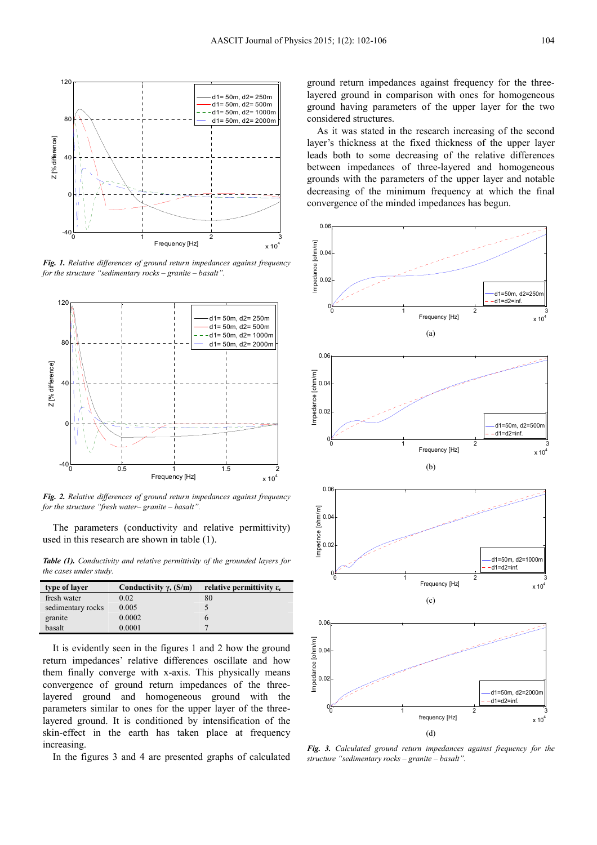

*Fig. 1. Relative differences of ground return impedances against frequency for the structure "sedimentary rocks – granite – basalt".* 



*Fig. 2. Relative differences of ground return impedances against frequency for the structure "fresh water– granite – basalt".* 

The parameters (conductivity and relative permittivity) used in this research are shown in table (1).

*Table (1). Conductivity and relative permittivity of the grounded layers for the cases under study.* 

| type of layer     | Conductivity $\gamma$ , (S/m) | relative permittivity $\varepsilon_r$ |
|-------------------|-------------------------------|---------------------------------------|
| fresh water       | 0.02                          | 80                                    |
| sedimentary rocks | 0.005                         |                                       |
| granite           | 0.0002                        |                                       |
| basalt            | 0.0001                        |                                       |

It is evidently seen in the figures 1 and 2 how the ground return impedances' relative differences oscillate and how them finally converge with x-axis. This physically means convergence of ground return impedances of the threelayered ground and homogeneous ground with the parameters similar to ones for the upper layer of the threelayered ground. It is conditioned by intensification of the skin-effect in the earth has taken place at frequency increasing.

In the figures 3 and 4 are presented graphs of calculated

ground return impedances against frequency for the threelayered ground in comparison with ones for homogeneous ground having parameters of the upper layer for the two considered structures.

As it was stated in the research increasing of the second layer's thickness at the fixed thickness of the upper layer leads both to some decreasing of the relative differences between impedances of three-layered and homogeneous grounds with the parameters of the upper layer and notable decreasing of the minimum frequency at which the final convergence of the minded impedances has begun.



*Fig. 3. Calculated ground return impedances against frequency for the structure "sedimentary rocks – granite – basalt".*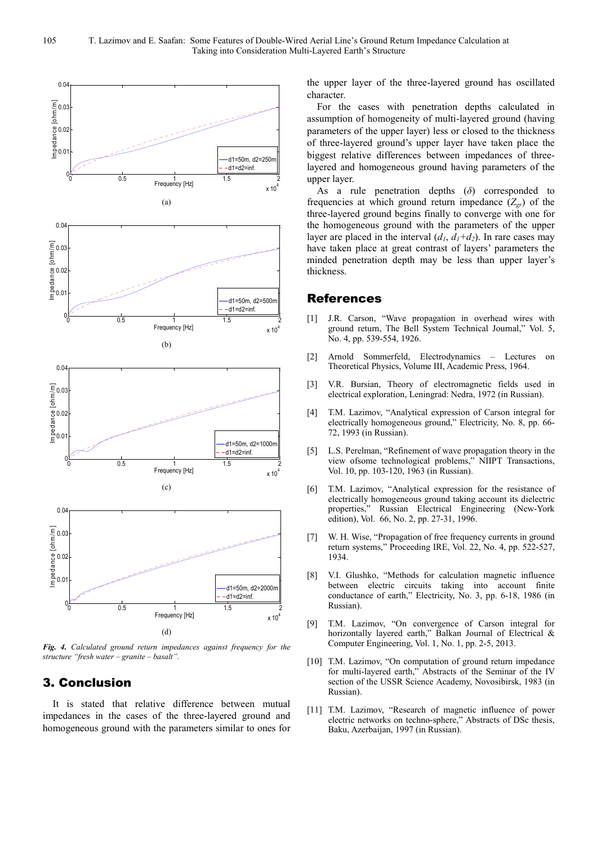

*Fig. 4. Calculated ground return impedances against frequency for the structure "fresh water – granite – basalt".* 

### 3. Conclusion

It is stated that relative difference between mutual impedances in the cases of the three-layered ground and homogeneous ground with the parameters similar to ones for the upper layer of the three-layered ground has oscillated character.

For the cases with penetration depths calculated in assumption of homogeneity of multi-layered ground (having parameters of the upper layer) less or closed to the thickness of three-layered ground's upper layer have taken place the biggest relative differences between impedances of threelayered and homogeneous ground having parameters of the upper layer.

As a rule penetration depths (*δ*) corresponded to frequencies at which ground return impedance  $(Z_{gr})$  of the three-layered ground begins finally to converge with one for the homogeneous ground with the parameters of the upper layer are placed in the interval  $(d_1, d_1+d_2)$ . In rare cases may have taken place at great contrast of layers' parameters the minded penetration depth may be less than upper layer's thickness.

#### References

- [1] J.R. Carson, "Wave propagation in overhead wires with ground return, The Bell System Technical Journal," Vol. 5, No. 4, pp. 539-554, 1926.
- [2] Arnold Sommerfeld, Electrodynamics Lectures on Theoretical Physics, Volume III, Academic Press, 1964.
- [3] V.R. Bursian, Theory of electromagnetic fields used in electrical exploration, Leningrad: Nedra, 1972 (in Russian).
- [4] T.M. Lazimov, "Analytical expression of Carson integral for electrically homogeneous ground," Electricity, No. 8, pp. 66- 72, 1993 (in Russian).
- [5] L.S. Perelman, "Refinement of wave propagation theory in the view ofsome technological problems," NIIPT Transactions, Vol. 10, pp. 103-120, 1963 (in Russian).
- [6] T.M. Lazimov, "Analytical expression for the resistance of electrically homogeneous ground taking account its dielectric properties," Russian Electrical Engineering (New-York edition), Vol. 66, No. 2, pp. 27-31, 1996.
- [7] W. H. Wise, "Propagation of free frequency currents in ground return systems," Proceeding IRE, Vol. 22, No. 4, pp. 522-527, 1934.
- [8] V.I. Glushko, "Methods for calculation magnetic influence between electric circuits taking into account finite conductance of earth," Electricity, No. 3, pp. 6-18, 1986 (in Russian).
- [9] T.M. Lazimov, "On convergence of Carson integral for horizontally layered earth," Balkan Journal of Electrical & Computer Engineering, Vol. 1, No. 1, pp. 2-5, 2013.
- [10] T.M. Lazimov, "On computation of ground return impedance for multi-layered earth," Abstracts of the Seminar of the IV section of the USSR Science Academy, Novosibirsk, 1983 (in Russian).
- [11] T.M. Lazimov, "Research of magnetic influence of power electric networks on techno-sphere," Abstracts of DSc thesis, Baku, Azerbaijan, 1997 (in Russian).